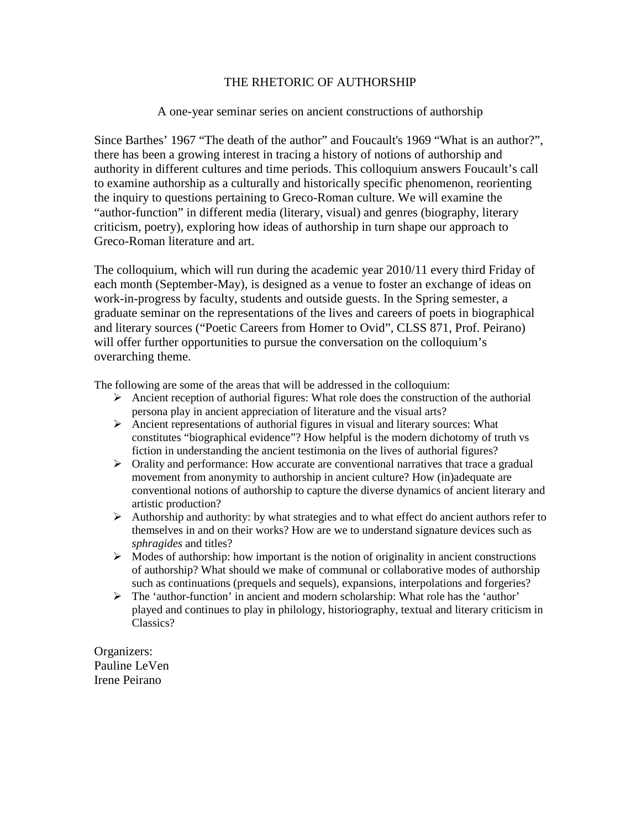## THE RHETORIC OF AUTHORSHIP

## A one-year seminar series on ancient constructions of authorship

Since Barthes' 1967 "The death of the author" and Foucault's 1969 "What is an author?", there has been a growing interest in tracing a history of notions of authorship and authority in different cultures and time periods. This colloquium answers Foucault's call to examine authorship as a culturally and historically specific phenomenon, reorienting the inquiry to questions pertaining to Greco-Roman culture. We will examine the "author-function" in different media (literary, visual) and genres (biography, literary criticism, poetry), exploring how ideas of authorship in turn shape our approach to Greco-Roman literature and art.

The colloquium, which will run during the academic year 2010/11 every third Friday of each month (September-May), is designed as a venue to foster an exchange of ideas on work-in-progress by faculty, students and outside guests. In the Spring semester, a graduate seminar on the representations of the lives and careers of poets in biographical and literary sources ("Poetic Careers from Homer to Ovid", CLSS 871, Prof. Peirano) will offer further opportunities to pursue the conversation on the colloquium's overarching theme.

The following are some of the areas that will be addressed in the colloquium:

- Ancient reception of authorial figures: What role does the construction of the authorial persona play in ancient appreciation of literature and the visual arts?
- Ancient representations of authorial figures in visual and literary sources: What constitutes "biographical evidence"? How helpful is the modern dichotomy of truth vs fiction in understanding the ancient testimonia on the lives of authorial figures?
- $\triangleright$  Orality and performance: How accurate are conventional narratives that trace a gradual movement from anonymity to authorship in ancient culture? How (in)adequate are conventional notions of authorship to capture the diverse dynamics of ancient literary and artistic production?
- $\triangleright$  Authorship and authority: by what strategies and to what effect do ancient authors refer to themselves in and on their works? How are we to understand signature devices such as *sphragides* and titles?
- $\triangleright$  Modes of authorship: how important is the notion of originality in ancient constructions of authorship? What should we make of communal or collaborative modes of authorship such as continuations (prequels and sequels), expansions, interpolations and forgeries?
- $\triangleright$  The 'author-function' in ancient and modern scholarship: What role has the 'author' played and continues to play in philology, historiography, textual and literary criticism in Classics?

Organizers: Pauline LeVen Irene Peirano